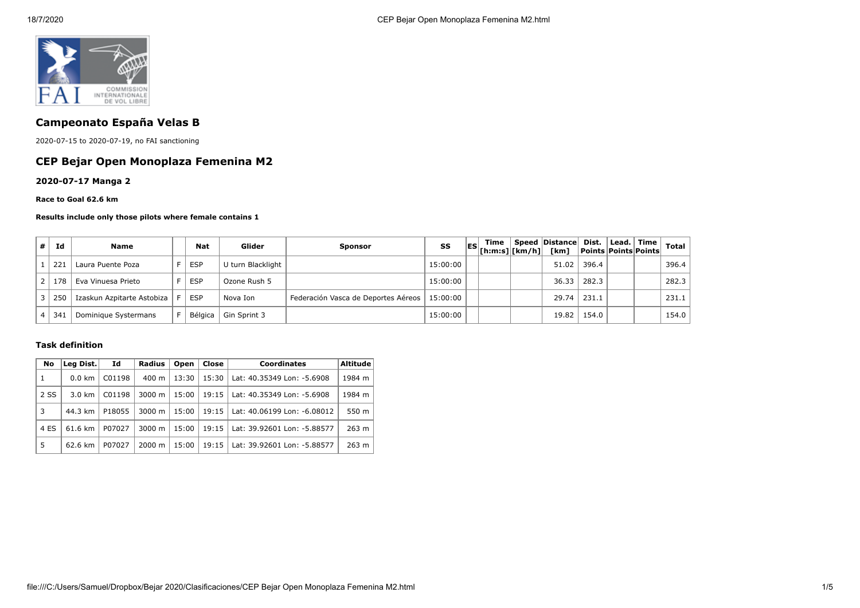

# **Campeonato España Velas B**

2020-07-15 to 2020-07-19, no FAI sanctioning

## **CEP Bejar Open Monoplaza Femenina M2**

**2020-07-17 Manga 2**

#### **Race to Goal 62.6 km**

#### **Results include only those pilots where female contains 1**

| # | Id    | <b>Name</b>                | <b>Nat</b> | Glider            | <b>Sponsor</b>                      | SS       | Time<br>$\begin{bmatrix}$ ES [ lime   speed   b | Speed Distance Dist. Lead. Time<br>[km] | Points   Points   Points |  | Total |
|---|-------|----------------------------|------------|-------------------|-------------------------------------|----------|-------------------------------------------------|-----------------------------------------|--------------------------|--|-------|
|   | 221   | Laura Puente Poza          | <b>ESP</b> | U turn Blacklight |                                     | 15:00:00 |                                                 | 51.02                                   | 396.4                    |  | 396.4 |
|   | . 178 | Eva Vinuesa Prieto         | <b>ESP</b> | Ozone Rush 5      |                                     | 15:00:00 |                                                 | 36.33                                   | 282.3                    |  | 282.3 |
|   | 250   | Izaskun Azpitarte Astobiza | <b>ESP</b> | Nova Ion          | Federación Vasca de Deportes Aéreos | 15:00:00 |                                                 | 29.74                                   | 231.1                    |  | 231.1 |
|   | 341   | Dominique Systermans       | Bélaica    | Gin Sprint 3      |                                     | 15:00:00 |                                                 | 19.82                                   | 154.0                    |  | 154.0 |

### **Task definition**

| No   | Lea Dist.        | Id     | Radius             | Open  | Close | <b>Coordinates</b>          | Altitude |
|------|------------------|--------|--------------------|-------|-------|-----------------------------|----------|
| 1    | $0.0 \text{ km}$ | C01198 | $400 \text{ m}$    | 13:30 | 15:30 | Lat: 40.35349 Lon: -5.6908  | 1984 m   |
| 2 SS | $3.0 \text{ km}$ | C01198 | $3000 \; \text{m}$ | 15:00 | 19:15 | Lat: 40.35349 Lon: -5.6908  | 1984 m   |
| 3    | 44.3 km l        | P18055 | $3000 \; \text{m}$ | 15:00 | 19:15 | Lat: 40.06199 Lon: -6.08012 | 550 m    |
| 4 ES | 61.6 km          | P07027 | $3000 \; \text{m}$ | 15:00 | 19:15 | Lat: 39.92601 Lon: -5.88577 | 263 m    |
| 5    | 62.6 km          | P07027 | $2000 \; \text{m}$ | 15:00 | 19:15 | Lat: 39.92601 Lon: -5.88577 | 263 m    |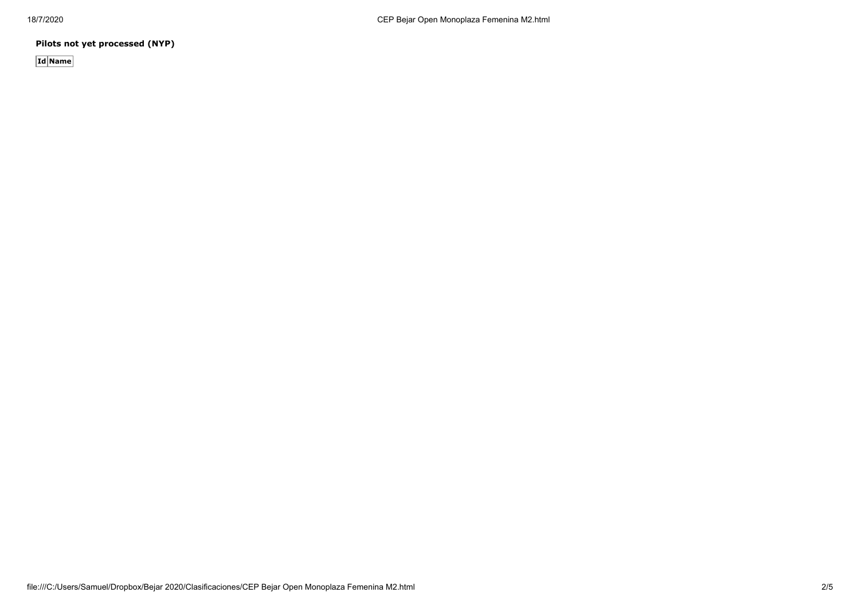**Pilots not yet processed (NYP)**

**Id Name**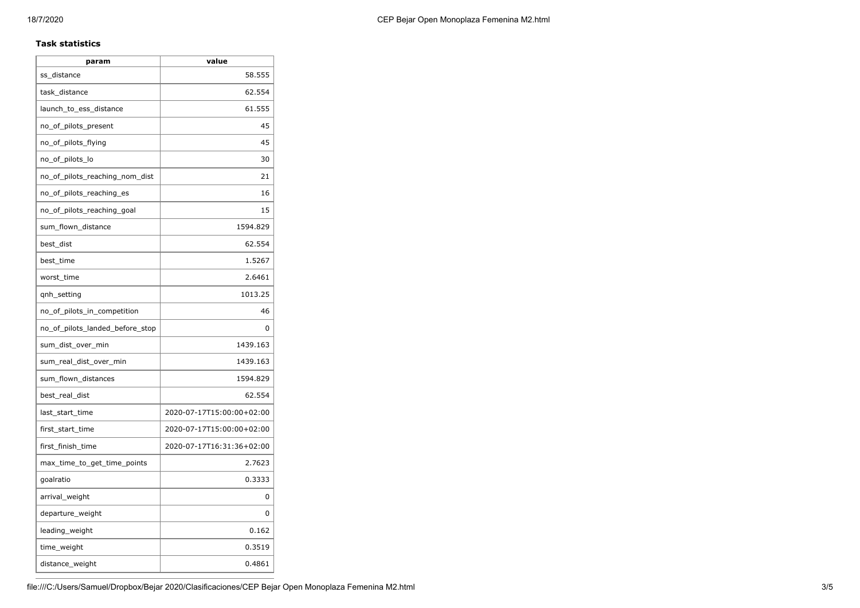### **Task statistics**

| param                           | value                     |  |  |  |  |
|---------------------------------|---------------------------|--|--|--|--|
| ss_distance                     | 58.555                    |  |  |  |  |
| task_distance                   | 62.554                    |  |  |  |  |
| launch_to_ess_distance          | 61.555                    |  |  |  |  |
| no_of_pilots_present            | 45                        |  |  |  |  |
| no_of_pilots_flying             | 45                        |  |  |  |  |
| no_of_pilots_lo                 | 30                        |  |  |  |  |
| no_of_pilots_reaching_nom_dist  | 21                        |  |  |  |  |
| no_of_pilots_reaching_es        | 16                        |  |  |  |  |
| no_of_pilots_reaching_goal      | 15                        |  |  |  |  |
| sum_flown_distance              | 1594.829                  |  |  |  |  |
| best_dist                       | 62.554                    |  |  |  |  |
| best_time                       | 1.5267                    |  |  |  |  |
| worst_time                      | 2.6461                    |  |  |  |  |
| qnh_setting                     | 1013.25                   |  |  |  |  |
| no_of_pilots_in_competition     | 46                        |  |  |  |  |
| no_of_pilots_landed_before_stop | 0                         |  |  |  |  |
| sum_dist_over_min               | 1439.163                  |  |  |  |  |
| sum real dist over min          | 1439.163                  |  |  |  |  |
| sum_flown_distances             | 1594.829                  |  |  |  |  |
| best_real_dist                  | 62.554                    |  |  |  |  |
| last_start_time                 | 2020-07-17T15:00:00+02:00 |  |  |  |  |
| first_start_time                | 2020-07-17T15:00:00+02:00 |  |  |  |  |
| first_finish_time               | 2020-07-17T16:31:36+02:00 |  |  |  |  |
| max_time_to_get_time_points     | 2.7623                    |  |  |  |  |
| goalratio                       | 0.3333                    |  |  |  |  |
| arrival_weight                  | 0                         |  |  |  |  |
| departure_weight                | 0                         |  |  |  |  |
| leading_weight                  | 0.162                     |  |  |  |  |
| time_weight                     | 0.3519                    |  |  |  |  |
| distance_weight                 | 0.4861                    |  |  |  |  |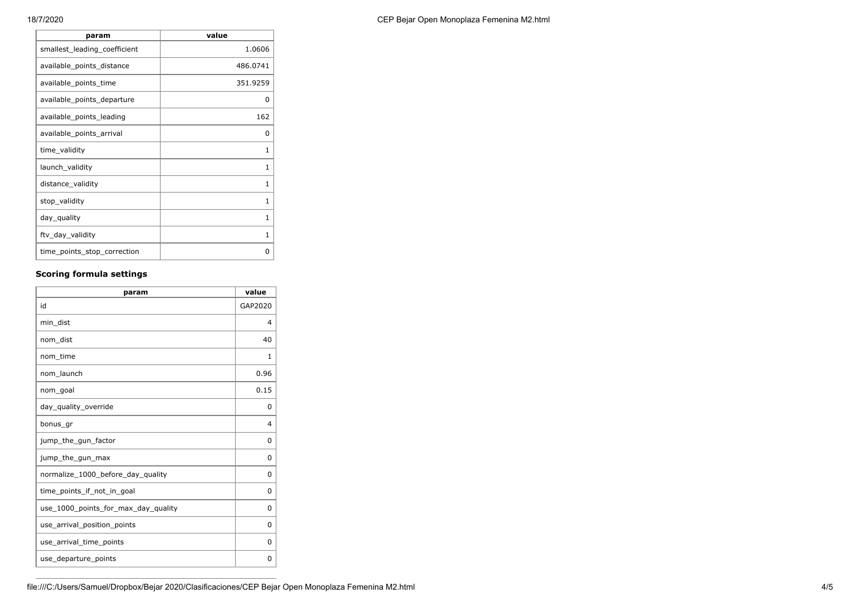**F** 

| param                        | value    |
|------------------------------|----------|
| smallest_leading_coefficient | 1.0606   |
| available_points_distance    | 486.0741 |
| available_points_time        | 351.9259 |
| available_points_departure   | 0        |
| available_points_leading     | 162      |
| available_points_arrival     | 0        |
| time_validity                | 1        |
| launch_validity              | 1        |
| distance_validity            | 1        |
| stop_validity                | 1        |
| day_quality                  | 1        |
| ftv_day_validity             | 1        |
| time_points_stop_correction  | O        |

## **Scoring formula settings**

| param                               | value   |
|-------------------------------------|---------|
| id                                  | GAP2020 |
| min dist                            | 4       |
| nom dist                            | 40      |
| nom_time                            | 1       |
| nom launch                          | 0.96    |
| nom goal                            | 0.15    |
| day_quality_override                | 0       |
| bonus_gr                            | 4       |
| jump_the_gun_factor                 | 0       |
| jump_the_gun_max                    | 0       |
| normalize_1000_before_day_quality   | 0       |
| time points if not in goal          | 0       |
| use_1000_points_for_max_day_quality | 0       |
| use_arrival_position_points         | 0       |
| use_arrival_time_points             | 0       |
| use_departure_points                | 0       |